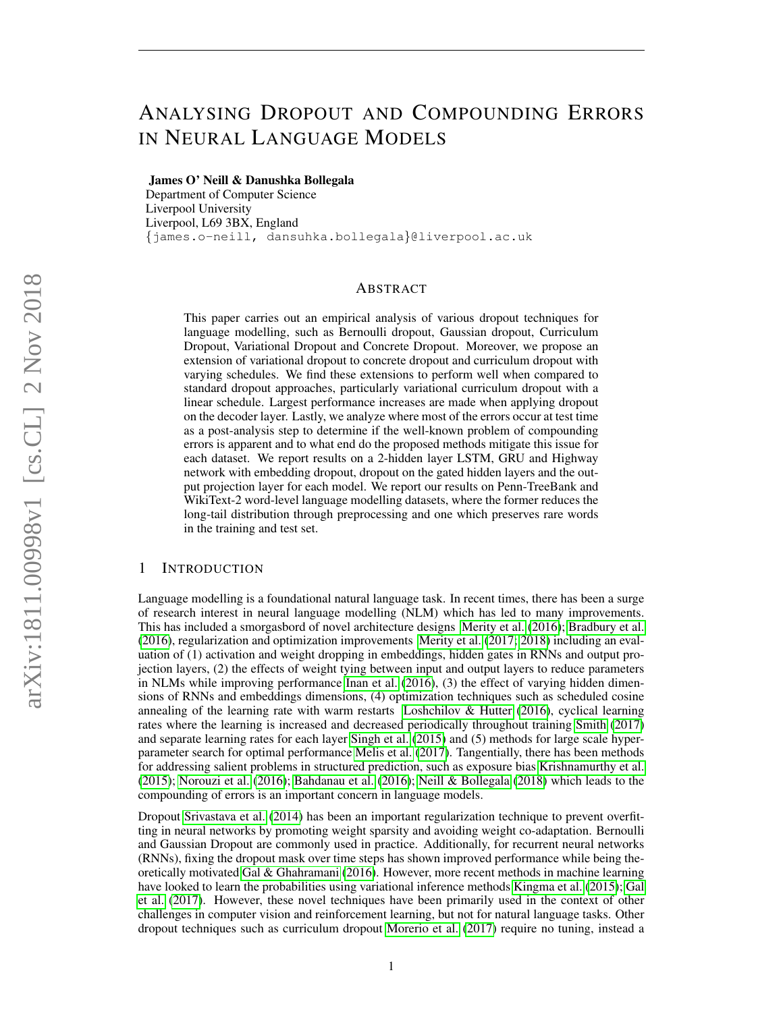# ANALYSING DROPOUT AND COMPOUNDING ERRORS IN NEURAL LANGUAGE MODELS

James O' Neill & Danushka Bollegala

Department of Computer Science Liverpool University Liverpool, L69 3BX, England {james.o-neill, dansuhka.bollegala}@liverpool.ac.uk

## ABSTRACT

This paper carries out an empirical analysis of various dropout techniques for language modelling, such as Bernoulli dropout, Gaussian dropout, Curriculum Dropout, Variational Dropout and Concrete Dropout. Moreover, we propose an extension of variational dropout to concrete dropout and curriculum dropout with varying schedules. We find these extensions to perform well when compared to standard dropout approaches, particularly variational curriculum dropout with a linear schedule. Largest performance increases are made when applying dropout on the decoder layer. Lastly, we analyze where most of the errors occur at test time as a post-analysis step to determine if the well-known problem of compounding errors is apparent and to what end do the proposed methods mitigate this issue for each dataset. We report results on a 2-hidden layer LSTM, GRU and Highway network with embedding dropout, dropout on the gated hidden layers and the output projection layer for each model. We report our results on Penn-TreeBank and WikiText-2 word-level language modelling datasets, where the former reduces the long-tail distribution through preprocessing and one which preserves rare words in the training and test set.

# 1 INTRODUCTION

Language modelling is a foundational natural language task. In recent times, there has been a surge of research interest in neural language modelling (NLM) which has led to many improvements. This has included a smorgasbord of novel architecture designs [Merity et al.](#page-9-0) [\(2016\)](#page-9-0); [Bradbury et al.](#page-8-0) [\(2016\)](#page-8-0), regularization and optimization improvements [Merity et al.](#page-9-1) [\(2017;](#page-9-1) [2018\)](#page-9-2) including an evaluation of (1) activation and weight dropping in embeddings, hidden gates in RNNs and output projection layers, (2) the effects of weight tying between input and output layers to reduce parameters in NLMs while improving performance [Inan et al.](#page-9-3) [\(2016\)](#page-9-3), (3) the effect of varying hidden dimensions of RNNs and embeddings dimensions, (4) optimization techniques such as scheduled cosine annealing of the learning rate with warm restarts Loshchilov  $\&$  Hutter [\(2016\)](#page-9-4), cyclical learning rates where the learning is increased and decreased periodically throughout training [Smith](#page-9-5) [\(2017\)](#page-9-5) and separate learning rates for each layer [Singh et al.](#page-9-6) [\(2015\)](#page-9-6) and (5) methods for large scale hyperparameter search for optimal performance [Melis et al.](#page-9-7) [\(2017\)](#page-9-7). Tangentially, there has been methods for addressing salient problems in structured prediction, such as exposure bias [Krishnamurthy et al.](#page-9-8) [\(2015\)](#page-9-8); [Norouzi et al.](#page-9-9) [\(2016\)](#page-9-9); [Bahdanau et al.](#page-8-1) [\(2016\)](#page-8-1); [Neill & Bollegala](#page-9-10) [\(2018\)](#page-9-10) which leads to the compounding of errors is an important concern in language models.

Dropout [Srivastava et al.](#page-9-11) [\(2014\)](#page-9-11) has been an important regularization technique to prevent overfitting in neural networks by promoting weight sparsity and avoiding weight co-adaptation. Bernoulli and Gaussian Dropout are commonly used in practice. Additionally, for recurrent neural networks (RNNs), fixing the dropout mask over time steps has shown improved performance while being theoretically motivated [Gal & Ghahramani](#page-8-2) [\(2016\)](#page-8-2). However, more recent methods in machine learning have looked to learn the probabilities using variational inference methods [Kingma et al.](#page-9-12) [\(2015\)](#page-9-12); [Gal](#page-8-3) [et al.](#page-8-3) [\(2017\)](#page-8-3). However, these novel techniques have been primarily used in the context of other challenges in computer vision and reinforcement learning, but not for natural language tasks. Other dropout techniques such as curriculum dropout [Morerio et al.](#page-9-13) [\(2017\)](#page-9-13) require no tuning, instead a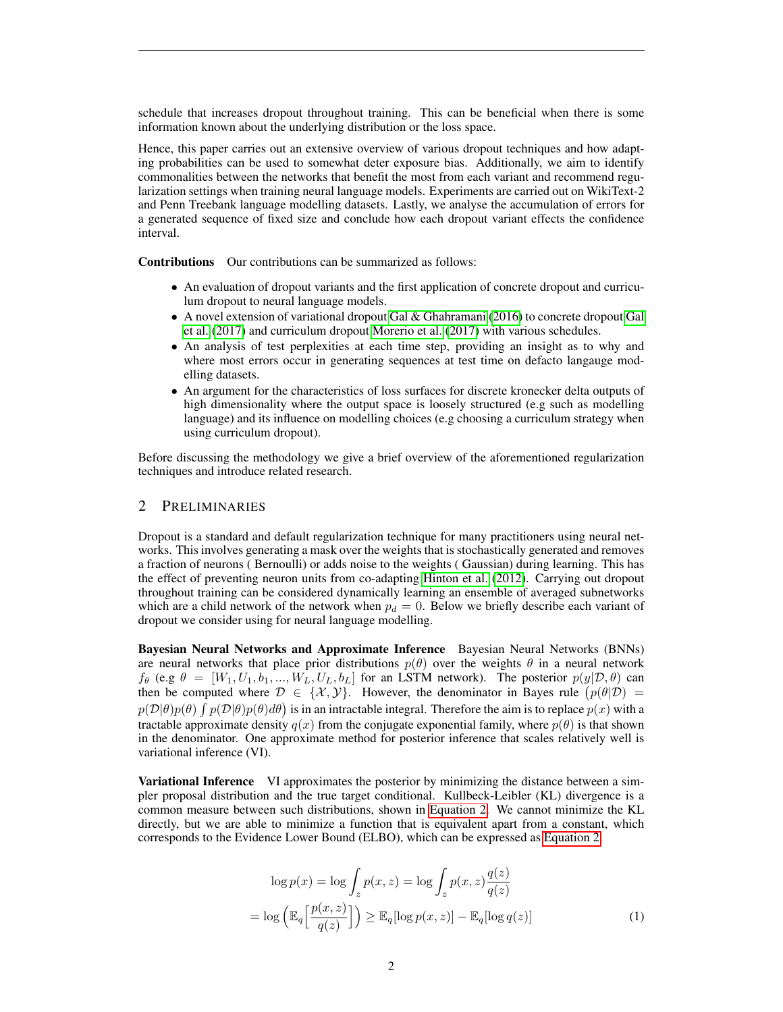schedule that increases dropout throughout training. This can be beneficial when there is some information known about the underlying distribution or the loss space.

Hence, this paper carries out an extensive overview of various dropout techniques and how adapting probabilities can be used to somewhat deter exposure bias. Additionally, we aim to identify commonalities between the networks that benefit the most from each variant and recommend regularization settings when training neural language models. Experiments are carried out on WikiText-2 and Penn Treebank language modelling datasets. Lastly, we analyse the accumulation of errors for a generated sequence of fixed size and conclude how each dropout variant effects the confidence interval.

Contributions Our contributions can be summarized as follows:

- An evaluation of dropout variants and the first application of concrete dropout and curriculum dropout to neural language models.
- A novel extension of variational dropout [Gal & Ghahramani](#page-8-2) [\(2016\)](#page-8-2) to concrete dropout [Gal](#page-8-3) [et al.](#page-8-3) [\(2017\)](#page-8-3) and curriculum dropout [Morerio et al.](#page-9-13) [\(2017\)](#page-9-13) with various schedules.
- An analysis of test perplexities at each time step, providing an insight as to why and where most errors occur in generating sequences at test time on defacto langauge modelling datasets.
- An argument for the characteristics of loss surfaces for discrete kronecker delta outputs of high dimensionality where the output space is loosely structured (e.g such as modelling language) and its influence on modelling choices (e.g choosing a curriculum strategy when using curriculum dropout).

Before discussing the methodology we give a brief overview of the aforementioned regularization techniques and introduce related research.

## 2 PRELIMINARIES

Dropout is a standard and default regularization technique for many practitioners using neural networks. This involves generating a mask over the weights that is stochastically generated and removes a fraction of neurons ( Bernoulli) or adds noise to the weights ( Gaussian) during learning. This has the effect of preventing neuron units from co-adapting [Hinton et al.](#page-9-14) [\(2012\)](#page-9-14). Carrying out dropout throughout training can be considered dynamically learning an ensemble of averaged subnetworks which are a child network of the network when  $p_d = 0$ . Below we briefly describe each variant of dropout we consider using for neural language modelling.

Bayesian Neural Networks and Approximate Inference Bayesian Neural Networks (BNNs) are neural networks that place prior distributions  $p(\theta)$  over the weights  $\theta$  in a neural network  $f_{\theta}$  (e.g  $\theta = [W_1, U_1, b_1, ..., W_L, U_L, b_L]$  for an LSTM network). The posterior  $p(y | \mathcal{D}, \theta)$  can then be computed where  $\mathcal{D} \in \{X, Y\}$ . However, the denominator in Bayes rule  $(p(\theta|\mathcal{D}))$  $p(\mathcal{D}|\theta)p(\theta) \int p(\mathcal{D}|\theta)p(\theta)d\theta$  is in an intractable integral. Therefore the aim is to replace  $p(x)$  with a tractable approximate density  $q(x)$  from the conjugate exponential family, where  $p(\theta)$  is that shown in the denominator. One approximate method for posterior inference that scales relatively well is variational inference (VI).

Variational Inference VI approximates the posterior by minimizing the distance between a simpler proposal distribution and the true target conditional. Kullbeck-Leibler (KL) divergence is a common measure between such distributions, shown in [Equation 2.](#page-2-0) We cannot minimize the KL directly, but we are able to minimize a function that is equivalent apart from a constant, which corresponds to the Evidence Lower Bound (ELBO), which can be expressed as [Equation 2.](#page-1-0)

<span id="page-1-0"></span>
$$
\log p(x) = \log \int_{z} p(x, z) = \log \int_{z} p(x, z) \frac{q(z)}{q(z)}
$$

$$
= \log \left( \mathbb{E}_{q} \left[ \frac{p(x, z)}{q(z)} \right] \right) \geq \mathbb{E}_{q} [\log p(x, z)] - \mathbb{E}_{q} [\log q(z)] \tag{1}
$$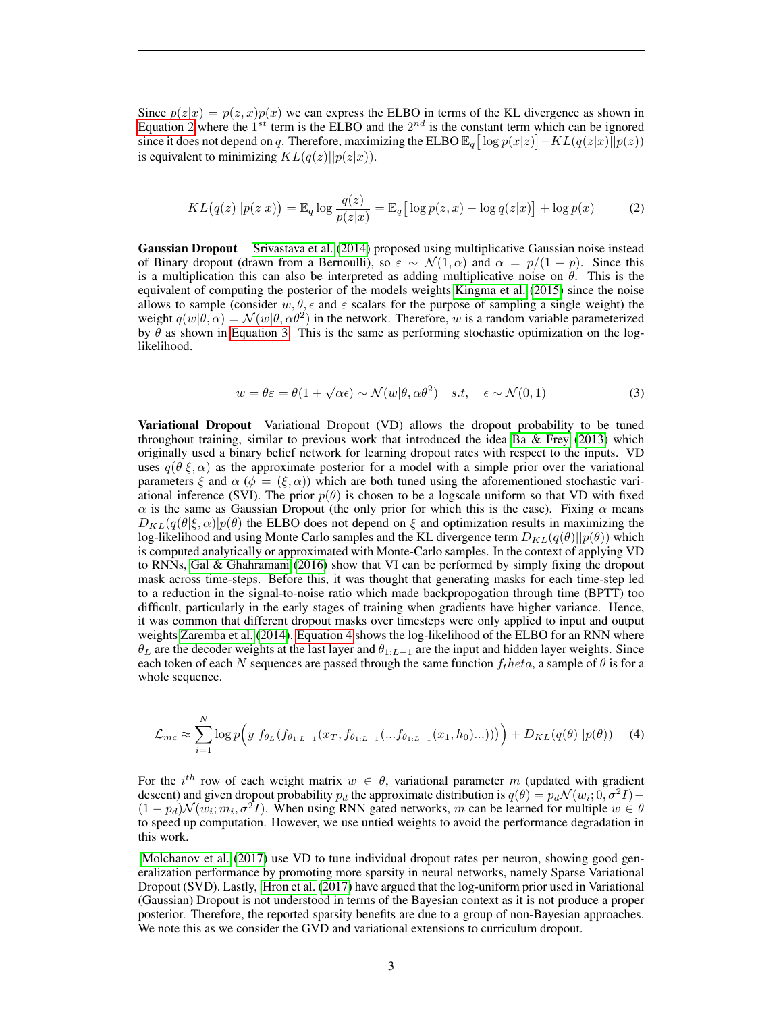Since  $p(z|x) = p(z, x)p(x)$  we can express the ELBO in terms of the KL divergence as shown in [Equation 2](#page-2-0) where the  $1^{st}$  term is the ELBO and the  $2^{nd}$  is the constant term which can be ignored since it does not depend on q. Therefore, maximizing the ELBO  $\mathbb{E}_q[\log p(x|z)] - KL(q(z|x)||p(z))$ is equivalent to minimizing  $KL(q(z)||p(z|x))$ .

$$
KL(q(z)||p(z|x)) = \mathbb{E}_q \log \frac{q(z)}{p(z|x)} = \mathbb{E}_q \big[ \log p(z, x) - \log q(z|x) \big] + \log p(x) \tag{2}
$$

Gaussian Dropout [Srivastava et al.](#page-9-11) [\(2014\)](#page-9-11) proposed using multiplicative Gaussian noise instead of Binary dropout (drawn from a Bernoulli), so  $\varepsilon \sim \mathcal{N}(1,\alpha)$  and  $\alpha = p/(1-p)$ . Since this is a multiplication this can also be interpreted as adding multiplicative noise on  $\theta$ . This is the equivalent of computing the posterior of the models weights [Kingma et al.](#page-9-12) [\(2015\)](#page-9-12) since the noise allows to sample (consider  $w, \theta, \epsilon$  and  $\varepsilon$  scalars for the purpose of sampling a single weight) the weight  $q(w|\theta,\alpha) = \mathcal{N}(w|\theta,\alpha\theta^2)$  in the network. Therefore, w is a random variable parameterized by  $\hat{\theta}$  as shown in [Equation 3.](#page-2-1) This is the same as performing stochastic optimization on the loglikelihood.

<span id="page-2-1"></span><span id="page-2-0"></span>
$$
w = \theta \varepsilon = \theta (1 + \sqrt{\alpha} \epsilon) \sim \mathcal{N}(w | \theta, \alpha \theta^2) \quad s.t, \quad \epsilon \sim \mathcal{N}(0, 1)
$$
 (3)

Variational Dropout Variational Dropout (VD) allows the dropout probability to be tuned throughout training, similar to previous work that introduced the idea Ba  $\&$  Frey [\(2013\)](#page-8-4) which originally used a binary belief network for learning dropout rates with respect to the inputs. VD uses  $q(\theta|\xi,\alpha)$  as the approximate posterior for a model with a simple prior over the variational parameters  $\xi$  and  $\alpha$  ( $\phi = (\xi, \alpha)$ ) which are both tuned using the aforementioned stochastic variational inference (SVI). The prior  $p(\theta)$  is chosen to be a logscale uniform so that VD with fixed  $\alpha$  is the same as Gaussian Dropout (the only prior for which this is the case). Fixing  $\alpha$  means  $D_{KL}(q(\theta|\xi,\alpha)|p(\theta))$  the ELBO does not depend on  $\xi$  and optimization results in maximizing the log-likelihood and using Monte Carlo samples and the KL divergence term  $D_{KL}(q(\theta)||p(\theta))$  which is computed analytically or approximated with Monte-Carlo samples. In the context of applying VD to RNNs, [Gal & Ghahramani](#page-8-2) [\(2016\)](#page-8-2) show that VI can be performed by simply fixing the dropout mask across time-steps. Before this, it was thought that generating masks for each time-step led to a reduction in the signal-to-noise ratio which made backpropogation through time (BPTT) too difficult, particularly in the early stages of training when gradients have higher variance. Hence, it was common that different dropout masks over timesteps were only applied to input and output weights [Zaremba et al.](#page-9-15) [\(2014\)](#page-9-15). [Equation 4](#page-2-2) shows the log-likelihood of the ELBO for an RNN where  $\theta_L$  are the decoder weights at the last layer and  $\theta_{1:L-1}$  are the input and hidden layer weights. Since each token of each N sequences are passed through the same function  $f<sub>t</sub> heta$ , a sample of  $\theta$  is for a whole sequence.

<span id="page-2-2"></span>
$$
\mathcal{L}_{mc} \approx \sum_{i=1}^{N} \log p\Big(y|f_{\theta_L}(f_{\theta_{1:L-1}}(x_T, f_{\theta_{1:L-1}}(...f_{\theta_{1:L-1}}(x_1, h_0)...)))\Big) + D_{KL}(q(\theta)||p(\theta)) \quad (4)
$$

For the i<sup>th</sup> row of each weight matrix  $w \in \theta$ , variational parameter m (updated with gradient descent) and given dropout probability  $p_d$  the approximate distribution is  $q(\theta) = p_d \mathcal{N}(w_i; 0, \sigma^2 I) (1 - p_d) \mathcal{N}(w_i; m_i, \sigma^2 I)$ . When using RNN gated networks, m can be learned for multiple  $w \in \theta$ to speed up computation. However, we use untied weights to avoid the performance degradation in this work.

[Molchanov et al.](#page-9-16) [\(2017\)](#page-9-16) use VD to tune individual dropout rates per neuron, showing good generalization performance by promoting more sparsity in neural networks, namely Sparse Variational Dropout (SVD). Lastly, [Hron et al.](#page-9-17) [\(2017\)](#page-9-17) have argued that the log-uniform prior used in Variational (Gaussian) Dropout is not understood in terms of the Bayesian context as it is not produce a proper posterior. Therefore, the reported sparsity benefits are due to a group of non-Bayesian approaches. We note this as we consider the GVD and variational extensions to curriculum dropout.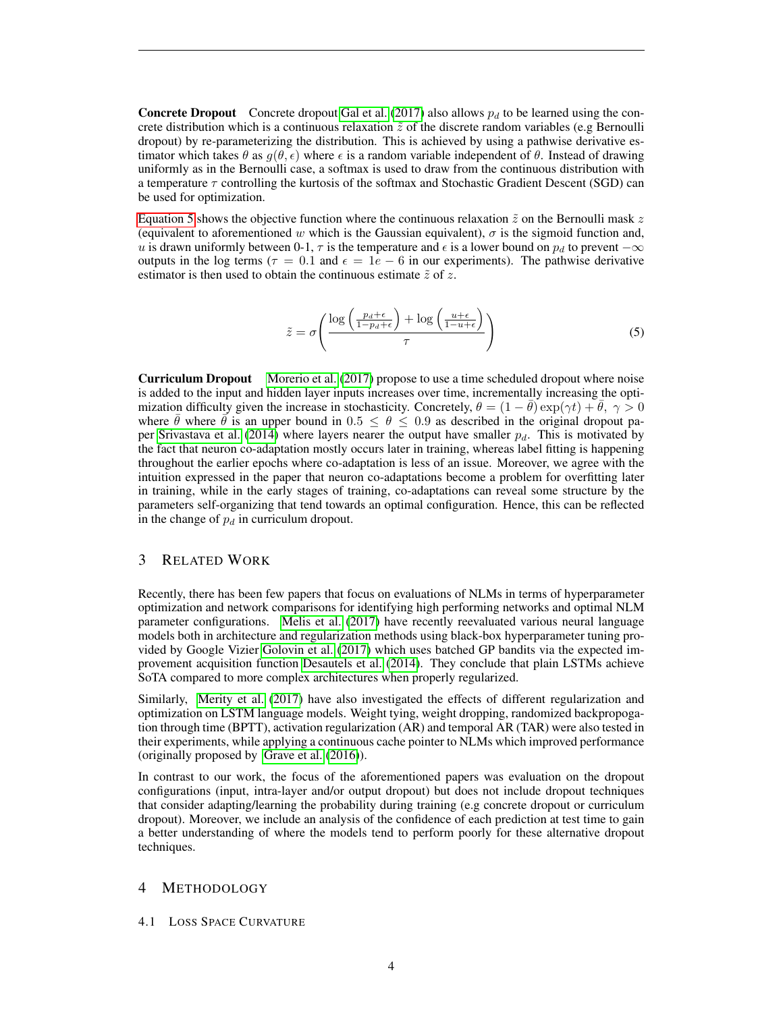**Concrete Dropout** Concrete dropout [Gal et al.](#page-8-3) [\(2017\)](#page-8-3) also allows  $p_d$  to be learned using the concrete distribution which is a continuous relaxation  $\tilde{z}$  of the discrete random variables (e.g Bernoulli dropout) by re-parameterizing the distribution. This is achieved by using a pathwise derivative estimator which takes  $\theta$  as  $q(\theta, \epsilon)$  where  $\epsilon$  is a random variable independent of  $\theta$ . Instead of drawing uniformly as in the Bernoulli case, a softmax is used to draw from the continuous distribution with a temperature  $\tau$  controlling the kurtosis of the softmax and Stochastic Gradient Descent (SGD) can be used for optimization.

[Equation 5](#page-3-0) shows the objective function where the continuous relaxation  $\tilde{z}$  on the Bernoulli mask z (equivalent to aforementioned w which is the Gaussian equivalent),  $\sigma$  is the sigmoid function and, u is drawn uniformly between 0-1,  $\tau$  is the temperature and  $\epsilon$  is a lower bound on  $p_d$  to prevent  $-\infty$ outputs in the log terms ( $\tau = 0.1$  and  $\epsilon = 1e - 6$  in our experiments). The pathwise derivative estimator is then used to obtain the continuous estimate  $\tilde{z}$  of z.

<span id="page-3-0"></span>
$$
\tilde{z} = \sigma \left( \frac{\log \left( \frac{p_d + \epsilon}{1 - p_d + \epsilon} \right) + \log \left( \frac{u + \epsilon}{1 - u + \epsilon} \right)}{\tau} \right) \tag{5}
$$

Curriculum Dropout [Morerio et al.](#page-9-13) [\(2017\)](#page-9-13) propose to use a time scheduled dropout where noise is added to the input and hidden layer inputs increases over time, incrementally increasing the optimization difficulty given the increase in stochasticity. Concretely,  $\theta = (1 - \bar{\theta}) \exp(\gamma t) + \bar{\theta}, \gamma > 0$ where  $\theta$  where  $\bar{\theta}$  is an upper bound in  $0.5 \le \theta \le 0.9$  as described in the original dropout pa-per [Srivastava et al.](#page-9-11) [\(2014\)](#page-9-11) where layers nearer the output have smaller  $p_d$ . This is motivated by the fact that neuron co-adaptation mostly occurs later in training, whereas label fitting is happening throughout the earlier epochs where co-adaptation is less of an issue. Moreover, we agree with the intuition expressed in the paper that neuron co-adaptations become a problem for overfitting later in training, while in the early stages of training, co-adaptations can reveal some structure by the parameters self-organizing that tend towards an optimal configuration. Hence, this can be reflected in the change of  $p_d$  in curriculum dropout.

# 3 RELATED WORK

Recently, there has been few papers that focus on evaluations of NLMs in terms of hyperparameter optimization and network comparisons for identifying high performing networks and optimal NLM parameter configurations. [Melis et al.](#page-9-7) [\(2017\)](#page-9-7) have recently reevaluated various neural language models both in architecture and regularization methods using black-box hyperparameter tuning provided by Google Vizier [Golovin et al.](#page-9-18) [\(2017\)](#page-9-18) which uses batched GP bandits via the expected improvement acquisition function [Desautels et al.](#page-8-5) [\(2014\)](#page-8-5). They conclude that plain LSTMs achieve SoTA compared to more complex architectures when properly regularized.

Similarly, [Merity et al.](#page-9-1) [\(2017\)](#page-9-1) have also investigated the effects of different regularization and optimization on LSTM language models. Weight tying, weight dropping, randomized backpropogation through time (BPTT), activation regularization (AR) and temporal AR (TAR) were also tested in their experiments, while applying a continuous cache pointer to NLMs which improved performance (originally proposed by [Grave et al.](#page-9-19) [\(2016\)](#page-9-19)).

In contrast to our work, the focus of the aforementioned papers was evaluation on the dropout configurations (input, intra-layer and/or output dropout) but does not include dropout techniques that consider adapting/learning the probability during training (e.g concrete dropout or curriculum dropout). Moreover, we include an analysis of the confidence of each prediction at test time to gain a better understanding of where the models tend to perform poorly for these alternative dropout techniques.

## 4 METHODOLOGY

## <span id="page-3-1"></span>4.1 LOSS SPACE CURVATURE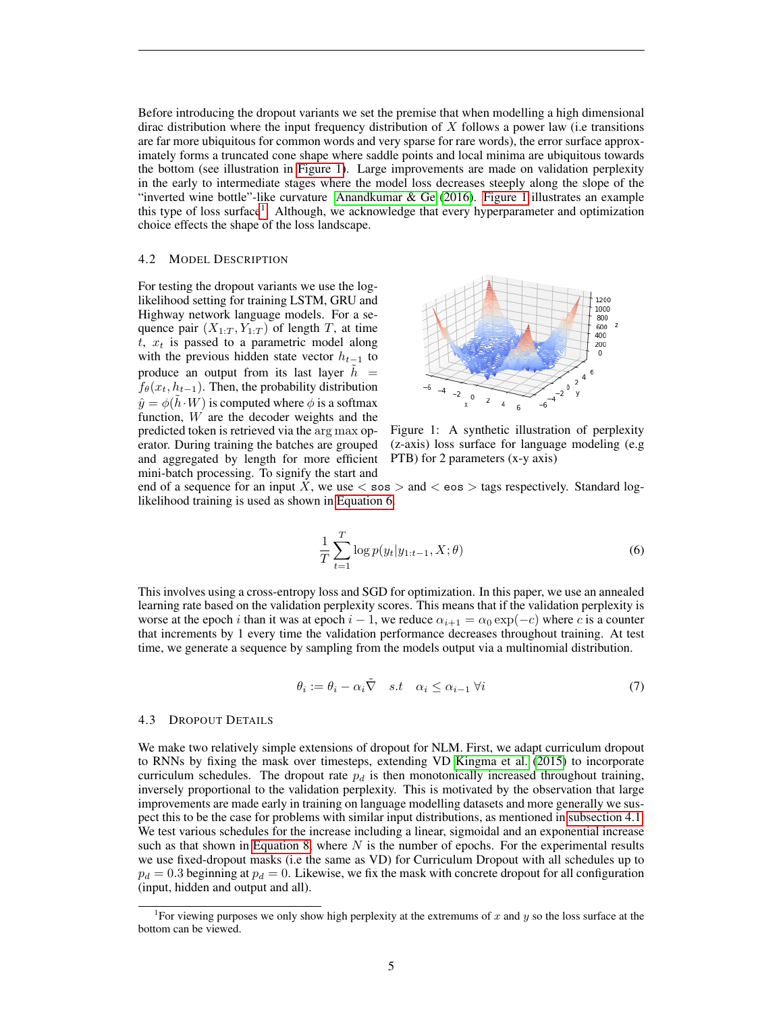Before introducing the dropout variants we set the premise that when modelling a high dimensional dirac distribution where the input frequency distribution of  $X$  follows a power law (i.e transitions are far more ubiquitous for common words and very sparse for rare words), the error surface approximately forms a truncated cone shape where saddle points and local minima are ubiquitous towards the bottom (see illustration in [Figure 1\)](#page-4-0). Large improvements are made on validation perplexity in the early to intermediate stages where the model loss decreases steeply along the slope of the "inverted wine bottle"-like curvature Anandkumar  $\&$  Ge [\(2016\)](#page-8-6). [Figure 1](#page-4-0) illustrates an example this type of loss surface<sup>[1](#page-4-1)</sup>. Although, we acknowledge that every hyperparameter and optimization choice effects the shape of the loss landscape.

## 4.2 MODEL DESCRIPTION

For testing the dropout variants we use the loglikelihood setting for training LSTM, GRU and Highway network language models. For a sequence pair  $(X_{1:T}, Y_{1:T})$  of length T, at time  $t$ ,  $x_t$  is passed to a parametric model along with the previous hidden state vector  $h_{t-1}$  to produce an output from its last layer  $h =$  $f_{\theta}(x_t, h_{t-1})$ . Then, the probability distribution  $\hat{y} = \phi(\tilde{h} \cdot W)$  is computed where  $\phi$  is a softmax function, W are the decoder weights and the predicted token is retrieved via the arg max operator. During training the batches are grouped and aggregated by length for more efficient mini-batch processing. To signify the start and

<span id="page-4-0"></span>

Figure 1: A synthetic illustration of perplexity (z-axis) loss surface for language modeling (e.g PTB) for 2 parameters (x-y axis)

end of a sequence for an input X, we use  $\lt$  sos  $>$  and  $\lt$  eos  $>$  tags respectively. Standard loglikelihood training is used as shown in [Equation 6.](#page-4-2)

<span id="page-4-2"></span>
$$
\frac{1}{T} \sum_{t=1}^{T} \log p(y_t | y_{1:t-1}, X; \theta)
$$
\n(6)

This involves using a cross-entropy loss and SGD for optimization. In this paper, we use an annealed learning rate based on the validation perplexity scores. This means that if the validation perplexity is worse at the epoch i than it was at epoch  $i - 1$ , we reduce  $\alpha_{i+1} = \alpha_0 \exp(-c)$  where c is a counter that increments by 1 every time the validation performance decreases throughout training. At test time, we generate a sequence by sampling from the models output via a multinomial distribution.

$$
\theta_i := \theta_i - \alpha_i \tilde{\nabla} \quad s.t \quad \alpha_i \le \alpha_{i-1} \ \forall i \tag{7}
$$

#### 4.3 DROPOUT DETAILS

We make two relatively simple extensions of dropout for NLM. First, we adapt curriculum dropout to RNNs by fixing the mask over timesteps, extending VD [Kingma et al.](#page-9-12) [\(2015\)](#page-9-12) to incorporate curriculum schedules. The dropout rate  $p_d$  is then monotonically increased throughout training, inversely proportional to the validation perplexity. This is motivated by the observation that large improvements are made early in training on language modelling datasets and more generally we suspect this to be the case for problems with similar input distributions, as mentioned in [subsection 4.1.](#page-3-1) We test various schedules for the increase including a linear, sigmoidal and an exponential increase such as that shown in [Equation 8,](#page-5-0) where  $N$  is the number of epochs. For the experimental results we use fixed-dropout masks (i.e the same as VD) for Curriculum Dropout with all schedules up to  $p_d = 0.3$  beginning at  $p_d = 0$ . Likewise, we fix the mask with concrete dropout for all configuration (input, hidden and output and all).

<span id="page-4-1"></span><sup>&</sup>lt;sup>1</sup> For viewing purposes we only show high perplexity at the extremums of x and y so the loss surface at the bottom can be viewed.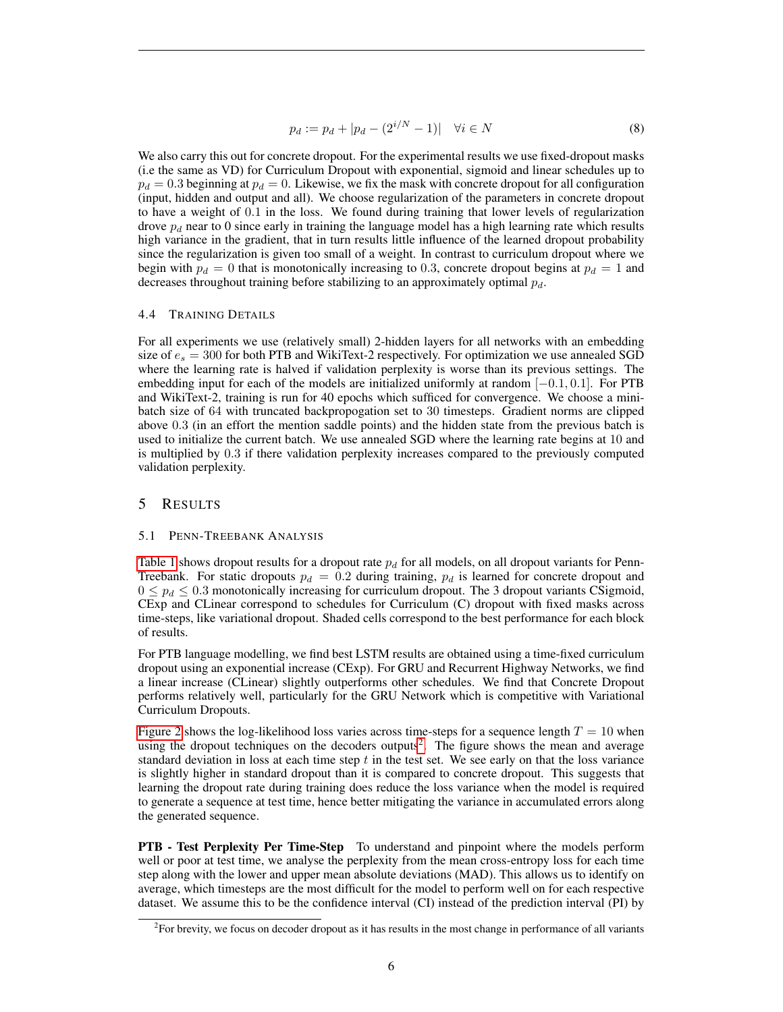<span id="page-5-0"></span>
$$
p_d := p_d + |p_d - (2^{i/N} - 1)| \quad \forall i \in N
$$
 (8)

We also carry this out for concrete dropout. For the experimental results we use fixed-dropout masks (i.e the same as VD) for Curriculum Dropout with exponential, sigmoid and linear schedules up to  $p_d = 0.3$  beginning at  $p_d = 0$ . Likewise, we fix the mask with concrete dropout for all configuration (input, hidden and output and all). We choose regularization of the parameters in concrete dropout to have a weight of 0.1 in the loss. We found during training that lower levels of regularization drove  $p_d$  near to 0 since early in training the language model has a high learning rate which results high variance in the gradient, that in turn results little influence of the learned dropout probability since the regularization is given too small of a weight. In contrast to curriculum dropout where we begin with  $p_d = 0$  that is monotonically increasing to 0.3, concrete dropout begins at  $p_d = 1$  and decreases throughout training before stabilizing to an approximately optimal  $p_d$ .

## 4.4 TRAINING DETAILS

For all experiments we use (relatively small) 2-hidden layers for all networks with an embedding size of  $e_s = 300$  for both PTB and WikiText-2 respectively. For optimization we use annealed SGD where the learning rate is halved if validation perplexity is worse than its previous settings. The embedding input for each of the models are initialized uniformly at random [−0.1, 0.1]. For PTB and WikiText-2, training is run for 40 epochs which sufficed for convergence. We choose a minibatch size of 64 with truncated backpropogation set to 30 timesteps. Gradient norms are clipped above 0.3 (in an effort the mention saddle points) and the hidden state from the previous batch is used to initialize the current batch. We use annealed SGD where the learning rate begins at 10 and is multiplied by 0.3 if there validation perplexity increases compared to the previously computed validation perplexity.

## 5 RESULTS

## 5.1 PENN-TREEBANK ANALYSIS

[Table 1](#page-6-0) shows dropout results for a dropout rate  $p_d$  for all models, on all dropout variants for Penn-Treebank. For static dropouts  $p_d = 0.2$  during training,  $p_d$  is learned for concrete dropout and  $0 \leq p_d \leq 0.3$  monotonically increasing for curriculum dropout. The 3 dropout variants CSigmoid, CExp and CLinear correspond to schedules for Curriculum (C) dropout with fixed masks across time-steps, like variational dropout. Shaded cells correspond to the best performance for each block of results.

For PTB language modelling, we find best LSTM results are obtained using a time-fixed curriculum dropout using an exponential increase (CExp). For GRU and Recurrent Highway Networks, we find a linear increase (CLinear) slightly outperforms other schedules. We find that Concrete Dropout performs relatively well, particularly for the GRU Network which is competitive with Variational Curriculum Dropouts.

[Figure 2](#page-6-1) shows the log-likelihood loss varies across time-steps for a sequence length  $T = 10$  when using the dropout techniques on the decoders outputs<sup>[2](#page-5-1)</sup>. The figure shows the mean and average standard deviation in loss at each time step  $t$  in the test set. We see early on that the loss variance is slightly higher in standard dropout than it is compared to concrete dropout. This suggests that learning the dropout rate during training does reduce the loss variance when the model is required to generate a sequence at test time, hence better mitigating the variance in accumulated errors along the generated sequence.

PTB - Test Perplexity Per Time-Step To understand and pinpoint where the models perform well or poor at test time, we analyse the perplexity from the mean cross-entropy loss for each time step along with the lower and upper mean absolute deviations (MAD). This allows us to identify on average, which timesteps are the most difficult for the model to perform well on for each respective dataset. We assume this to be the confidence interval (CI) instead of the prediction interval (PI) by

<span id="page-5-1"></span><sup>2</sup> For brevity, we focus on decoder dropout as it has results in the most change in performance of all variants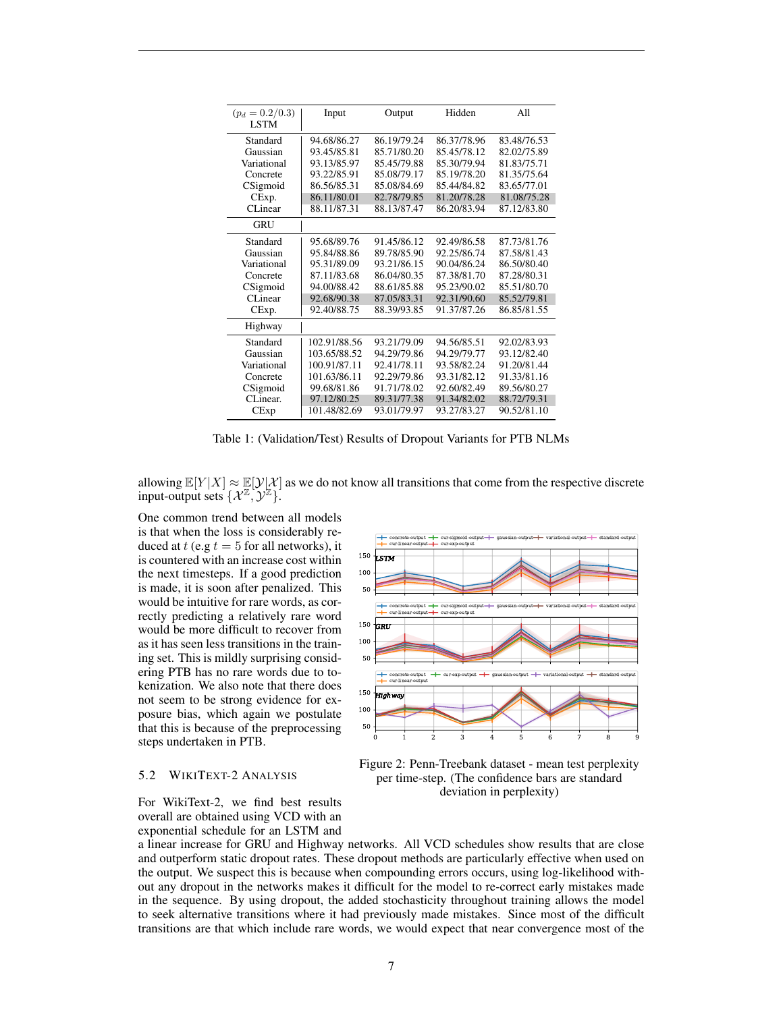<span id="page-6-0"></span>

| $(p_d = 0.2/0.3)$ | Input        | Output      | Hidden      | A11         |
|-------------------|--------------|-------------|-------------|-------------|
| <b>LSTM</b>       |              |             |             |             |
| Standard          | 94.68/86.27  | 86.19/79.24 | 86.37/78.96 | 83.48/76.53 |
| Gaussian          | 93.45/85.81  | 85.71/80.20 | 85.45/78.12 | 82.02/75.89 |
| Variational       | 93.13/85.97  | 85.45/79.88 | 85.30/79.94 | 81.83/75.71 |
| Concrete          | 93.22/85.91  | 85.08/79.17 | 85.19/78.20 | 81.35/75.64 |
| CSigmoid          | 86.56/85.31  | 85.08/84.69 | 85.44/84.82 | 83.65/77.01 |
| CExp.             | 86.11/80.01  | 82.78/79.85 | 81.20/78.28 | 81.08/75.28 |
| CLinear           | 88.11/87.31  | 88.13/87.47 | 86.20/83.94 | 87.12/83.80 |
| GRU               |              |             |             |             |
| Standard          | 95.68/89.76  | 91.45/86.12 | 92.49/86.58 | 87.73/81.76 |
| Gaussian          | 95.84/88.86  | 89.78/85.90 | 92.25/86.74 | 87.58/81.43 |
| Variational       | 95.31/89.09  | 93.21/86.15 | 90.04/86.24 | 86.50/80.40 |
| Concrete          | 87.11/83.68  | 86.04/80.35 | 87.38/81.70 | 87.28/80.31 |
| CSigmoid          | 94.00/88.42  | 88.61/85.88 | 95.23/90.02 | 85.51/80.70 |
| CL inear          | 92.68/90.38  | 87.05/83.31 | 92.31/90.60 | 85.52/79.81 |
| CExp.             | 92.40/88.75  | 88.39/93.85 | 91.37/87.26 | 86.85/81.55 |
| Highway           |              |             |             |             |
| Standard          | 102.91/88.56 | 93.21/79.09 | 94.56/85.51 | 92.02/83.93 |
| Gaussian          | 103.65/88.52 | 94.29/79.86 | 94.29/79.77 | 93.12/82.40 |
| Variational       | 100.91/87.11 | 92.41/78.11 | 93.58/82.24 | 91.20/81.44 |
| Concrete          | 101.63/86.11 | 92.29/79.86 | 93.31/82.12 | 91.33/81.16 |
| CSigmoid          | 99.68/81.86  | 91.71/78.02 | 92.60/82.49 | 89.56/80.27 |
| CLinear.          | 97.12/80.25  | 89.31/77.38 | 91.34/82.02 | 88.72/79.31 |
| CExp              | 101.48/82.69 | 93.01/79.97 | 93.27/83.27 | 90.52/81.10 |

Table 1: (Validation/Test) Results of Dropout Variants for PTB NLMs

allowing  $\mathbb{E}[Y|X] \approx \mathbb{E}[Y|\mathcal{X}]$  as we do not know all transitions that come from the respective discrete input-output sets  $\{\mathcal{X}^{\mathbb{Z}}, \mathcal{Y}^{\mathbb{Z}}\}.$ 

One common trend between all models is that when the loss is considerably reduced at t (e.g  $t = 5$  for all networks), it is countered with an increase cost within the next timesteps. If a good prediction is made, it is soon after penalized. This would be intuitive for rare words, as correctly predicting a relatively rare word would be more difficult to recover from as it has seen less transitions in the training set. This is mildly surprising considering PTB has no rare words due to tokenization. We also note that there does not seem to be strong evidence for exposure bias, which again we postulate that this is because of the preprocessing steps undertaken in PTB.

#### 5.2 WIKITEXT-2 ANALYSIS

For WikiText-2, we find best results overall are obtained using VCD with an exponential schedule for an LSTM and

<span id="page-6-1"></span>

Figure 2: Penn-Treebank dataset - mean test perplexity per time-step. (The confidence bars are standard deviation in perplexity)

a linear increase for GRU and Highway networks. All VCD schedules show results that are close and outperform static dropout rates. These dropout methods are particularly effective when used on the output. We suspect this is because when compounding errors occurs, using log-likelihood without any dropout in the networks makes it difficult for the model to re-correct early mistakes made in the sequence. By using dropout, the added stochasticity throughout training allows the model to seek alternative transitions where it had previously made mistakes. Since most of the difficult transitions are that which include rare words, we would expect that near convergence most of the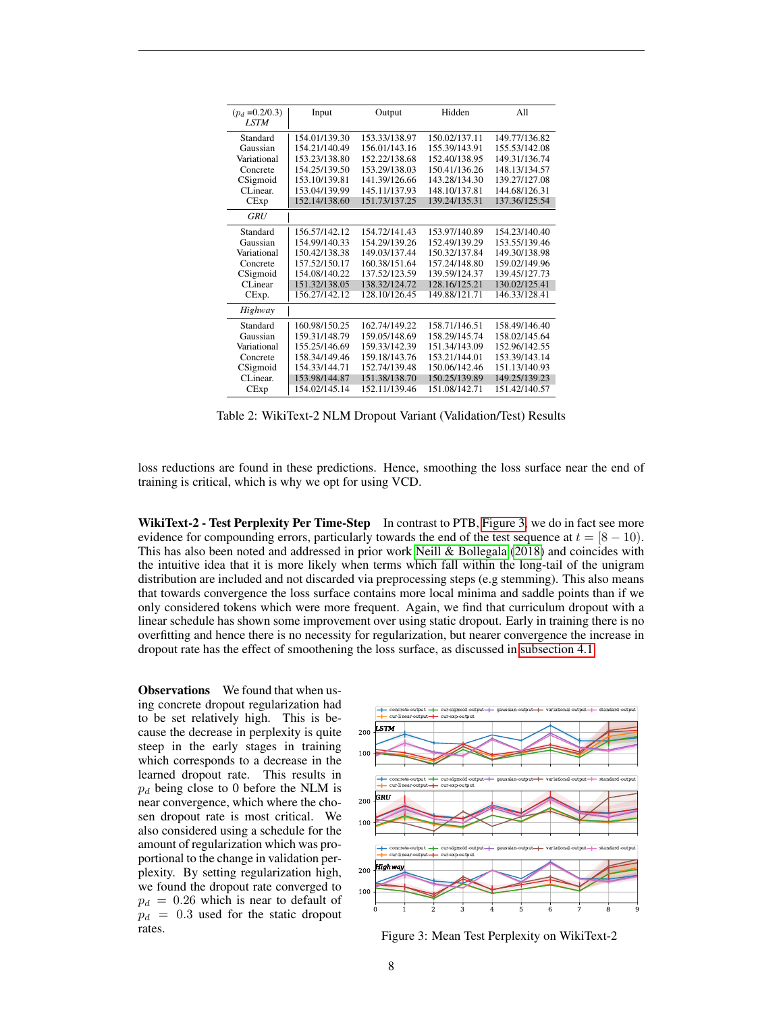| $(p_d = 0.2/0.3)$<br><b>LSTM</b> | Input         | Output        | Hidden        | A11           |
|----------------------------------|---------------|---------------|---------------|---------------|
|                                  |               |               |               |               |
| Standard                         | 154.01/139.30 | 153.33/138.97 | 150.02/137.11 | 149.77/136.82 |
| Gaussian                         | 154.21/140.49 | 156.01/143.16 | 155.39/143.91 | 155.53/142.08 |
| Variational                      | 153.23/138.80 | 152.22/138.68 | 152.40/138.95 | 149.31/136.74 |
| Concrete                         | 154.25/139.50 | 153.29/138.03 | 150.41/136.26 | 148.13/134.57 |
| CSigmoid                         | 153.10/139.81 | 141.39/126.66 | 143.28/134.30 | 139.27/127.08 |
| CL inear.                        | 153.04/139.99 | 145.11/137.93 | 148.10/137.81 | 144.68/126.31 |
| CExp                             | 152.14/138.60 | 151.73/137.25 | 139.24/135.31 | 137.36/125.54 |
| <b>GRU</b>                       |               |               |               |               |
| Standard                         | 156.57/142.12 | 154.72/141.43 | 153.97/140.89 | 154.23/140.40 |
| Gaussian                         | 154.99/140.33 | 154.29/139.26 | 152.49/139.29 | 153.55/139.46 |
| Variational                      | 150.42/138.38 | 149.03/137.44 | 150.32/137.84 | 149.30/138.98 |
| Concrete                         | 157.52/150.17 | 160.38/151.64 | 157.24/148.80 | 159.02/149.96 |
| CSigmoid                         | 154.08/140.22 | 137.52/123.59 | 139.59/124.37 | 139.45/127.73 |
| CL inear                         | 151.32/138.05 | 138.32/124.72 | 128.16/125.21 | 130.02/125.41 |
| CExp.                            | 156.27/142.12 | 128.10/126.45 | 149.88/121.71 | 146.33/128.41 |
| Highway                          |               |               |               |               |
| Standard                         | 160.98/150.25 | 162.74/149.22 | 158.71/146.51 | 158.49/146.40 |
| Gaussian                         | 159.31/148.79 | 159.05/148.69 | 158.29/145.74 | 158.02/145.64 |
| Variational                      | 155.25/146.69 | 159.33/142.39 | 151.34/143.09 | 152.96/142.55 |
| Concrete                         | 158.34/149.46 | 159.18/143.76 | 153.21/144.01 | 153.39/143.14 |
| CSigmoid                         | 154.33/144.71 | 152.74/139.48 | 150.06/142.46 | 151.13/140.93 |
| CLinear.                         | 153.98/144.87 | 151.38/138.70 | 150.25/139.89 | 149.25/139.23 |
| CExp                             | 154.02/145.14 | 152.11/139.46 | 151.08/142.71 | 151.42/140.57 |

Table 2: WikiText-2 NLM Dropout Variant (Validation/Test) Results

loss reductions are found in these predictions. Hence, smoothing the loss surface near the end of training is critical, which is why we opt for using VCD.

WikiText-2 - Test Perplexity Per Time-Step In contrast to PTB, [Figure 3,](#page-7-0) we do in fact see more evidence for compounding errors, particularly towards the end of the test sequence at  $t = [8 - 10)$ . This has also been noted and addressed in prior work [Neill & Bollegala](#page-9-10) [\(2018\)](#page-9-10) and coincides with the intuitive idea that it is more likely when terms which fall within the long-tail of the unigram distribution are included and not discarded via preprocessing steps (e.g stemming). This also means that towards convergence the loss surface contains more local minima and saddle points than if we only considered tokens which were more frequent. Again, we find that curriculum dropout with a linear schedule has shown some improvement over using static dropout. Early in training there is no overfitting and hence there is no necessity for regularization, but nearer convergence the increase in dropout rate has the effect of smoothening the loss surface, as discussed in [subsection 4.1.](#page-3-1)

**Observations** We found that when using concrete dropout regularization had to be set relatively high. This is because the decrease in perplexity is quite steep in the early stages in training which corresponds to a decrease in the learned dropout rate. This results in  $p_d$  being close to 0 before the NLM is near convergence, which where the chosen dropout rate is most critical. We also considered using a schedule for the amount of regularization which was proportional to the change in validation perplexity. By setting regularization high, we found the dropout rate converged to  $p_d = 0.26$  which is near to default of  $p_d = 0.3$  used for the static dropout rates.

<span id="page-7-0"></span>

Figure 3: Mean Test Perplexity on WikiText-2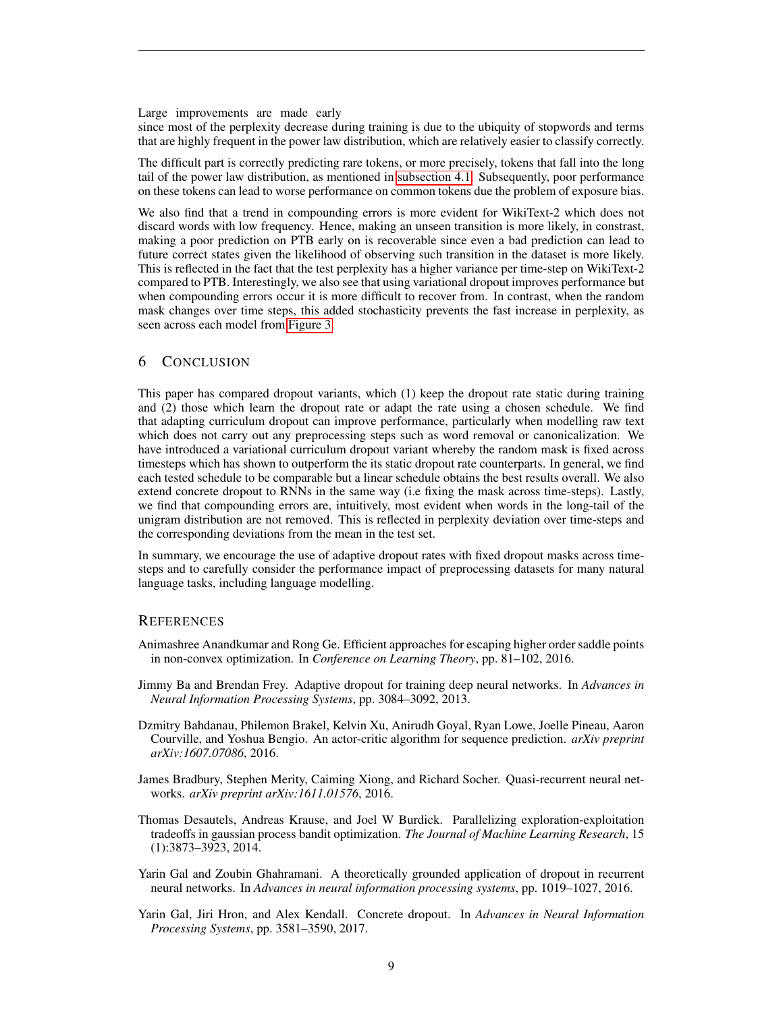#### Large improvements are made early

since most of the perplexity decrease during training is due to the ubiquity of stopwords and terms that are highly frequent in the power law distribution, which are relatively easier to classify correctly.

The difficult part is correctly predicting rare tokens, or more precisely, tokens that fall into the long tail of the power law distribution, as mentioned in [subsection 4.1.](#page-3-1) Subsequently, poor performance on these tokens can lead to worse performance on common tokens due the problem of exposure bias.

We also find that a trend in compounding errors is more evident for WikiText-2 which does not discard words with low frequency. Hence, making an unseen transition is more likely, in constrast, making a poor prediction on PTB early on is recoverable since even a bad prediction can lead to future correct states given the likelihood of observing such transition in the dataset is more likely. This is reflected in the fact that the test perplexity has a higher variance per time-step on WikiText-2 compared to PTB. Interestingly, we also see that using variational dropout improves performance but when compounding errors occur it is more difficult to recover from. In contrast, when the random mask changes over time steps, this added stochasticity prevents the fast increase in perplexity, as seen across each model from [Figure 3.](#page-7-0)

## 6 CONCLUSION

This paper has compared dropout variants, which (1) keep the dropout rate static during training and (2) those which learn the dropout rate or adapt the rate using a chosen schedule. We find that adapting curriculum dropout can improve performance, particularly when modelling raw text which does not carry out any preprocessing steps such as word removal or canonicalization. We have introduced a variational curriculum dropout variant whereby the random mask is fixed across timesteps which has shown to outperform the its static dropout rate counterparts. In general, we find each tested schedule to be comparable but a linear schedule obtains the best results overall. We also extend concrete dropout to RNNs in the same way (i.e fixing the mask across time-steps). Lastly, we find that compounding errors are, intuitively, most evident when words in the long-tail of the unigram distribution are not removed. This is reflected in perplexity deviation over time-steps and the corresponding deviations from the mean in the test set.

In summary, we encourage the use of adaptive dropout rates with fixed dropout masks across timesteps and to carefully consider the performance impact of preprocessing datasets for many natural language tasks, including language modelling.

## **REFERENCES**

- <span id="page-8-6"></span>Animashree Anandkumar and Rong Ge. Efficient approaches for escaping higher order saddle points in non-convex optimization. In *Conference on Learning Theory*, pp. 81–102, 2016.
- <span id="page-8-4"></span>Jimmy Ba and Brendan Frey. Adaptive dropout for training deep neural networks. In *Advances in Neural Information Processing Systems*, pp. 3084–3092, 2013.
- <span id="page-8-1"></span>Dzmitry Bahdanau, Philemon Brakel, Kelvin Xu, Anirudh Goyal, Ryan Lowe, Joelle Pineau, Aaron Courville, and Yoshua Bengio. An actor-critic algorithm for sequence prediction. *arXiv preprint arXiv:1607.07086*, 2016.
- <span id="page-8-0"></span>James Bradbury, Stephen Merity, Caiming Xiong, and Richard Socher. Quasi-recurrent neural networks. *arXiv preprint arXiv:1611.01576*, 2016.
- <span id="page-8-5"></span>Thomas Desautels, Andreas Krause, and Joel W Burdick. Parallelizing exploration-exploitation tradeoffs in gaussian process bandit optimization. *The Journal of Machine Learning Research*, 15 (1):3873–3923, 2014.
- <span id="page-8-2"></span>Yarin Gal and Zoubin Ghahramani. A theoretically grounded application of dropout in recurrent neural networks. In *Advances in neural information processing systems*, pp. 1019–1027, 2016.
- <span id="page-8-3"></span>Yarin Gal, Jiri Hron, and Alex Kendall. Concrete dropout. In *Advances in Neural Information Processing Systems*, pp. 3581–3590, 2017.